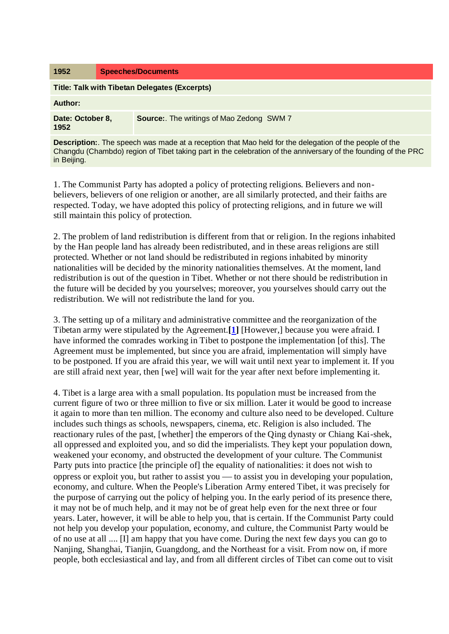| 1952                                                                                                                                                                                                                                          | <b>Speeches/Documents</b> |                                          |
|-----------------------------------------------------------------------------------------------------------------------------------------------------------------------------------------------------------------------------------------------|---------------------------|------------------------------------------|
| Title: Talk with Tibetan Delegates (Excerpts)                                                                                                                                                                                                 |                           |                                          |
| Author:                                                                                                                                                                                                                                       |                           |                                          |
| Date: October 8,<br>1952                                                                                                                                                                                                                      |                           | Source: The writings of Mao Zedong SWM 7 |
| <b>Description:</b> The speech was made at a reception that Mao held for the delegation of the people of the<br>Changdu (Chambdo) region of Tibet taking part in the celebration of the anniversary of the founding of the PRC<br>in Beijing. |                           |                                          |

1. The Communist Party has adopted a policy of protecting religions. Believers and nonbelievers, believers of one religion or another, are all similarly protected, and their faiths are respected. Today, we have adopted this policy of protecting religions, and in future we will still maintain this policy of protection.

2. The problem of land redistribution is different from that or religion. In the regions inhabited by the Han people land has already been redistributed, and in these areas religions are still protected. Whether or not land should be redistributed in regions inhabited by minority nationalities will be decided by the minority nationalities themselves. At the moment, land redistribution is out of the question in Tibet. Whether or not there should be redistribution in the future will be decided by you yourselves; moreover, you yourselves should carry out the redistribution. We will not redistribute the land for you.

3. The setting up of a military and administrative committee and the reorganization of the Tibetan army were stipulated by the Agreement.**[\[1\]](http://www.marxists.org/reference/archive/mao/selected-works/volume-7/mswv7_267.htm#bm1)** [However,] because you were afraid. I have informed the comrades working in Tibet to postpone the implementation [of this]. The Agreement must be implemented, but since you are afraid, implementation will simply have to be postponed. If you are afraid this year, we will wait until next year to implement it. If you are still afraid next year, then [we] will wait for the year after next before implementing it.

4. Tibet is a large area with a small population. Its population must be increased from the current figure of two or three million to five or six million. Later it would be good to increase it again to more than ten million. The economy and culture also need to be developed. Culture includes such things as schools, newspapers, cinema, etc. Religion is also included. The reactionary rules of the past, [whether] the emperors of the Qing dynasty or Chiang Kai-shek, all oppressed and exploited you, and so did the imperialists. They kept your population down, weakened your economy, and obstructed the development of your culture. The Communist Party puts into practice [the principle of] the equality of nationalities: it does not wish to oppress or exploit you, but rather to assist you to assist you in developing your population, economy, and culture. When the People's Liberation Army entered Tibet, it was precisely for the purpose of carrying out the policy of helping you. In the early period of its presence there, it may not be of much help, and it may not be of great help even for the next three or four years. Later, however, it will be able to help you, that is certain. If the Communist Party could not help you develop your population, economy, and culture, the Communist Party would be of no use at all .... [I] am happy that you have come. During the next few days you can go to Nanjing, Shanghai, Tianjin, Guangdong, and the Northeast for a visit. From now on, if more people, both ecclesiastical and lay, and from all different circles of Tibet can come out to visit